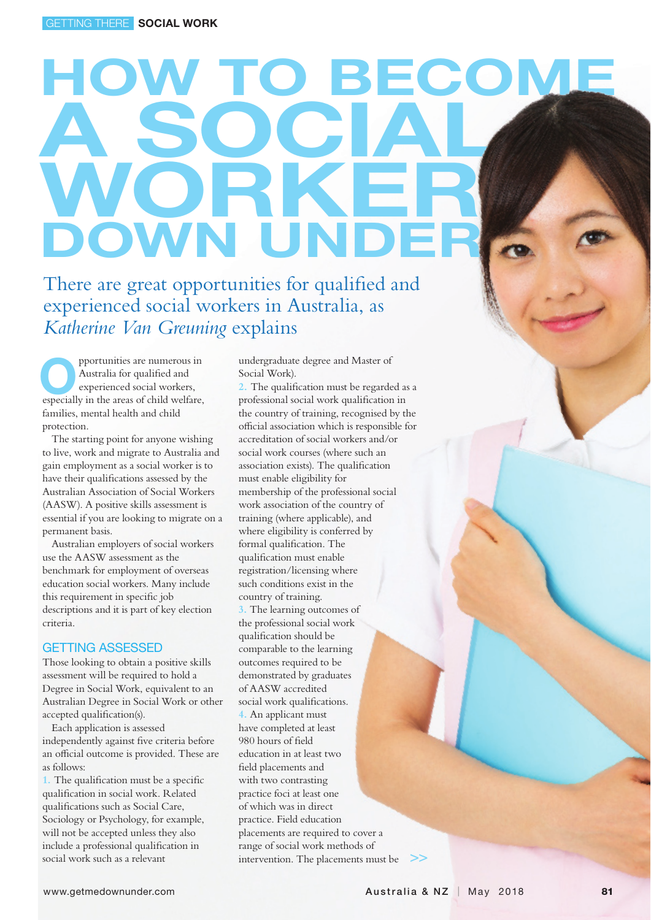# How to become a social WORKE DOWN UNI

There are great opportunities for qualified and experienced social workers in Australia, as *Katherine Van Greuning* explains

pportunities are numerous in Australia for qualified and experienced social workers, pportunities are numerous in<br>Australia for qualified and<br>experienced social workers,<br>especially in the areas of child welfare, families, mental health and child protection.

The starting point for anyone wishing to live, work and migrate to Australia and gain employment as a social worker is to have their qualifications assessed by the Australian Association of Social Workers (AASW). A positive skills assessment is essential if you are looking to migrate on a permanent basis.

Australian employers of social workers use the AASW assessment as the benchmark for employment of overseas education social workers. Many include this requirement in specific job descriptions and it is part of key election criteria.

#### GETTING ASSESSED

Those looking to obtain a positive skills assessment will be required to hold a Degree in Social Work, equivalent to an Australian Degree in Social Work or other accepted qualification(s).

Each application is assessed independently against five criteria before an official outcome is provided. These are as follows:

**1.** The qualification must be a specific qualification in social work. Related qualifications such as Social Care, Sociology or Psychology, for example, will not be accepted unless they also include a professional qualification in social work such as a relevant

undergraduate degree and Master of Social Work).

**2.** The qualification must be regarded as a professional social work qualification in the country of training, recognised by the official association which is responsible for accreditation of social workers and/or social work courses (where such an association exists). The qualification must enable eligibility for membership of the professional social work association of the country of training (where applicable), and where eligibility is conferred by formal qualification. The qualification must enable registration/licensing where such conditions exist in the country of training. **3.** The learning outcomes of the professional social work qualification should be comparable to the learning outcomes required to be demonstrated by graduates of AASW accredited social work qualifications. **4.** An applicant must have completed at least 980 hours of field education in at least two field placements and with two contrasting practice foci at least one of which was in direct practice. Field education placements are required to cover a range of social work methods of intervention. The placements must be